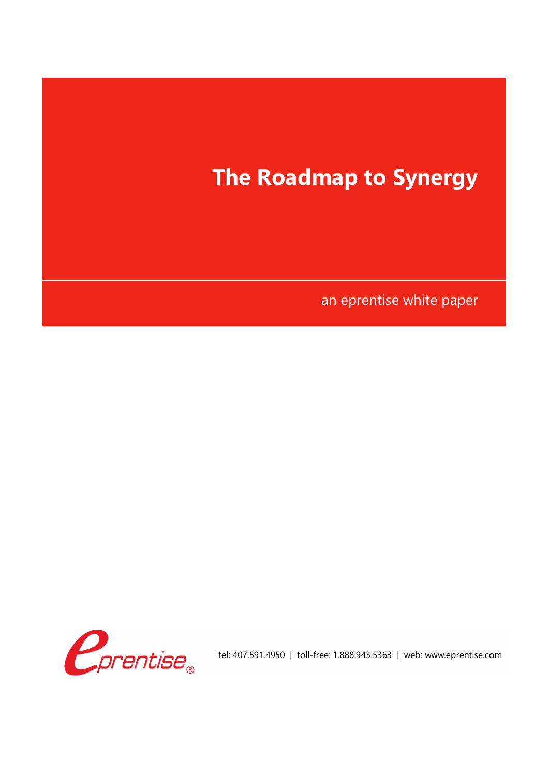



tel: 407.591.4950 | toll-free: 1.888.943.5363 | web: www.eprentise.com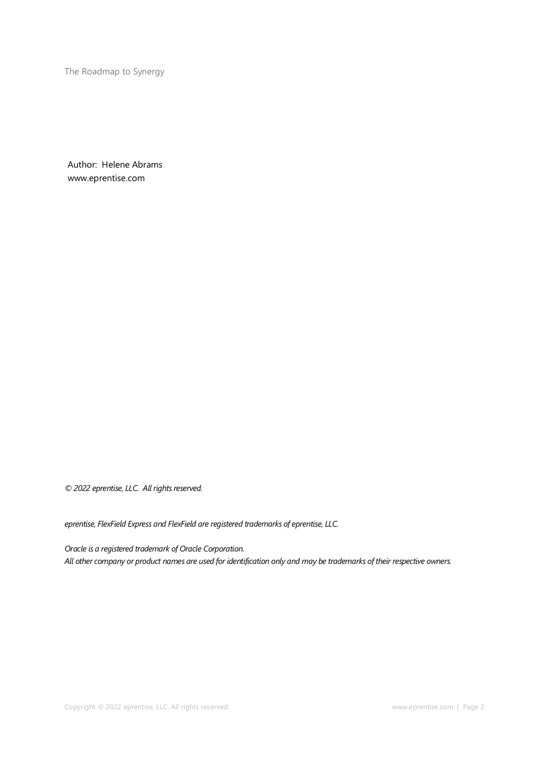The Roadmap to Synergy

Author: Helene Abrams www.eprentise.com

*© 2022 eprentise, LLC. All rights reserved.*

*eprentise, FlexField Express and FlexField are registered trademarks of eprentise, LLC.*

*Oracle is a registered trademark of Oracle Corporation. All other company or product names are used for identification only and may be trademarks of their respective owners.*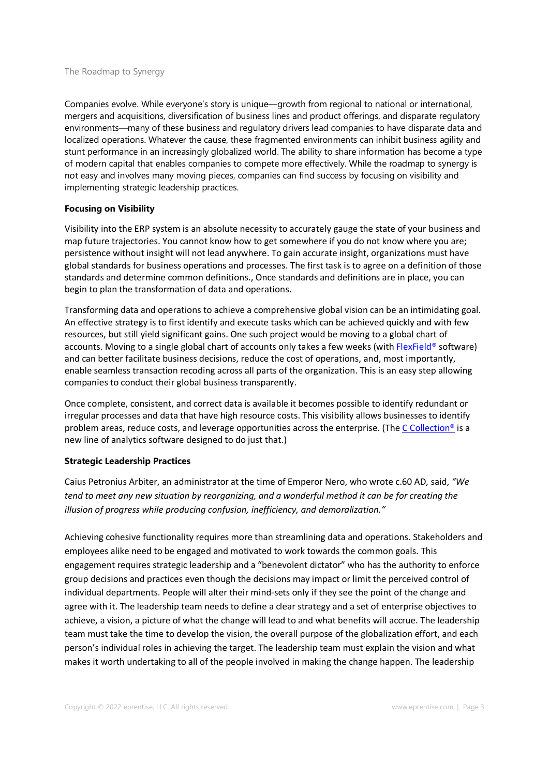### The Roadmap to Synergy

Companies evolve. While everyone's story is unique—growth from regional to national or international, mergers and acquisitions, diversification of business lines and product offerings, and disparate regulatory environments—many of these business and regulatory drivers lead companies to have disparate data and localized operations. Whatever the cause, these fragmented environments can inhibit business agility and stunt performance in an increasingly globalized world. The ability to share information has become a type of modern capital that enables companies to compete more effectively. While the roadmap to synergy is not easy and involves many moving pieces, companies can find success by focusing on visibility and implementing strategic leadership practices.

## **Focusing on Visibility**

Visibility into the ERP system is an absolute necessity to accurately gauge the state of your business and map future trajectories. You cannot know how to get somewhere if you do not know where you are; persistence without insight will not lead anywhere. To gain accurate insight, organizations must have global standards for business operations and processes. The first task is to agree on a definition of those standards and determine common definitions., Once standards and definitions are in place, you can begin to plan the transformation of data and operations.

Transforming data and operations to achieve a comprehensive global vision can be an intimidating goal. An effective strategy is to first identify and execute tasks which can be achieved quickly and with few resources, but still yield significant gains. One such project would be moving to a global chart of accounts. Moving to a single global chart of accounts only takes a few weeks (with FlexField® software) and can better facilitate business decisions, reduce the cost of operations, and, most importantly, enable seamless transaction recoding across all parts of the organization. This is an easy step allowing companies to conduct their global business transparently.

Once complete, consistent, and correct data is available it becomes possible to identify redundant or irregular processes and data that have high resource costs. This visibility allows businesses to identify problem areas, reduce costs, and leverage opportunities across the enterprise. (The C Collection<sup>®</sup> is a new line of analytics software designed to do just that.)

# **Strategic Leadership Practices**

Caius Petronius Arbiter, an administrator at the time of Emperor Nero, who wrote c.60 AD, said, *"We tend to meet any new situation by reorganizing, and a wonderful method it can be for creating the illusion of progress while producing confusion, inefficiency, and demoralization."*

Achieving cohesive functionality requires more than streamlining data and operations. Stakeholders and employees alike need to be engaged and motivated to work towards the common goals. This engagement requires strategic leadership and a "benevolent dictator" who has the authority to enforce group decisions and practices even though the decisions may impact or limit the perceived control of individual departments. People will alter their mind-sets only if they see the point of the change and agree with it. The leadership team needs to define a clear strategy and a set of enterprise objectives to achieve, a vision, a picture of what the change will lead to and what benefits will accrue. The leadership team must take the time to develop the vision, the overall purpose of the globalization effort, and each person's individual roles in achieving the target. The leadership team must explain the vision and what makes it worth undertaking to all of the people involved in making the change happen. The leadership